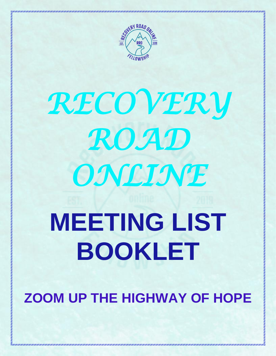

## *RECOVERY ROAD ONLINE*  **MEETING LIST BOOKLET**

**ZOOM UP THE HIGHWAY OF HOPE**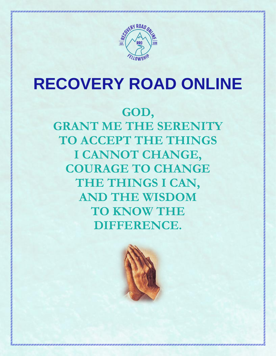

### **RECOVERY ROAD ONLINE**

### **GOD,**

**GRANT ME THE SERENITY TO ACCEPT THE THINGS I CANNOT CHANGE, COURAGE TO CHANGE THE THINGS I CAN, AND THE WISDOM TO KNOW THE DIFFERENCE.**

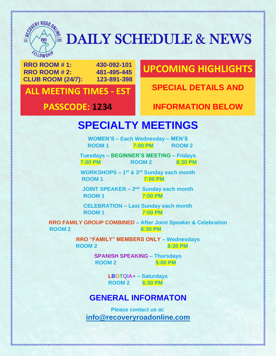

# **EXPIRE AN ARRANGEMENT SCHEDULE & NEWS**

**RRO ROOM # 1: 430-092-101 RRO ROOM # 2: 481-495-445 CLUB ROOM (24/7): 123-891-398**

#### **UPCOMING HIGHLIGHTS**

**SPECIAL DETAILS AND ALL MEETING TIMES - EST**

#### **PASSCODE: 1234 INFORMATION BELOW**

#### **SPECIALTY MEETINGS**

**WOMEN'S – Each Wednesday – MEN'S ROOM 1 7:00 PM ROOM 2**

**Tuesdays – BEGINNER'S MEETING – Fridays 7:00 PM 8:30 PM** ROOM 2 8:30 PM

**WORKSHOPS – 1 st & 3rd Sunday each month ROOM 1** 7:00 PM

**JOINT SPEAKER – 2<sup>nd</sup> Sunday each month ROOM 1** 7:00 PM

**CELEBRATION – Last Sunday each month ROOM 1 7:00 PM**

**RRO FAMILY GROUP COMBINED – After Joint Speaker & Celebration ROOM 2** 8:30 PM

> **RRO "FAMILY" MEMBERS ONLY – Wednesdays ROOM 2** 8:30 PM

> > **SPANISH SPEAKING – Thursdays ROOM 2 5:00 PM**

> > > **LBGTQIA+ – Saturdays ROOM 2 6:30 PM**

#### **GENERAL INFORMATON**

**Please contact us at: [info@recoveryroadonline.com](mailto:info@recoveryroadonline.com)**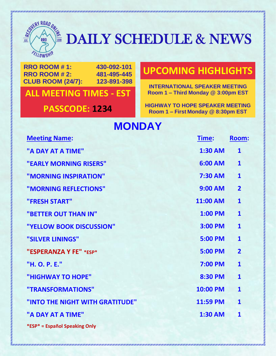

### $\frac{1}{2}$   $\frac{1}{2}$   $\frac{1}{2}$   $\frac{1}{2}$   $\frac{1}{2}$   $\frac{1}{2}$   $\frac{1}{2}$   $\frac{1}{2}$  DAILY SCHEDULE & NEWS

**RRO ROOM # 1: 430-092-101 RRO ROOM # 2: 481-495-445 CLUB ROOM (24/7): 123-891-398**

#### **ALL MEETING TIMES Room 1 – Third Monday @ 3:00pm EST - EST**

#### **UPCOMING HIGHLIGHTS**

**INTERNATIONAL SPEAKER MEETING**

**PASSCODE: 1234 HIGHWAY TO HOPE SPEAKER MEETING Room 1 – First Monday @ 8:30pm EST**

#### **MONDAY**

| <b>Meeting Name:</b>            | <u>Time:</u>   | Room:                   |
|---------------------------------|----------------|-------------------------|
| "A DAY AT A TIME"               | <b>1:30 AM</b> | $\mathbf{1}$            |
| "EARLY MORNING RISERS"          | 6:00 AM        | $\mathbf{1}$            |
| "MORNING INSPIRATION"           | <b>7:30 AM</b> | $\mathbf{1}$            |
| "MORNING REFLECTIONS"           | <b>9:00 AM</b> | $\overline{2}$          |
| "FRESH START"                   | 11:00 AM       | $\mathbf{1}$            |
| "BETTER OUT THAN IN"            | <b>1:00 PM</b> | $\mathbf{1}$            |
| "YELLOW BOOK DISCUSSION"        | 3:00 PM        | $\overline{\mathbf{1}}$ |
| "SILVER LININGS"                | <b>5:00 PM</b> | $\mathbf{1}$            |
| "ESPERANZA Y FE" *ESP*          | <b>5:00 PM</b> | $\overline{2}$          |
| "H. O. P. E."                   | <b>7:00 PM</b> | $\mathbf{1}$            |
| "HIGHWAY TO HOPE"               | 8:30 PM        | $\mathbf{1}$            |
| "TRANSFORMATIONS"               | 10:00 PM       | $\mathbf{1}$            |
| "INTO THE NIGHT WITH GRATITUDE" | 11:59 PM       | $\mathbf{1}$            |
| "A DAY AT A TIME"               | <b>1:30 AM</b> | $\mathbf{1}$            |
| *ESP* = Español Speaking Only   |                |                         |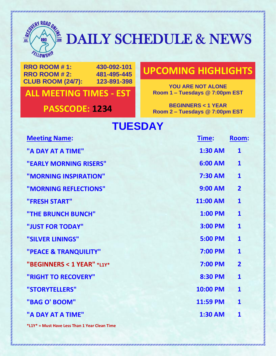

## **EXAMPLE DAILY SCHEDULE & NEWS**

**RRO ROOM # 1: 430-092-101 RRO ROOM # 2: 481-495-445 CLUB ROOM (24/7): 123-891-398**

**ALL MEETING TIMES Room 1 – Tuesdays @ 7:00pm EST - EST**

#### **UPCOMING HIGHLIGHTS**

**YOU ARE NOT ALONE<br>Room 1 - Tuesdays @ 7:00pm EST** 

**PASSCODE: 1234 BEGINNERS** < 1 YEAR **Room 2 – Tuesdays @ 7:00pm EST**

### **TUESDAY**

| <b>Meeting Name:</b>       | Time:          | <b>Room:</b>            |
|----------------------------|----------------|-------------------------|
| "A DAY AT A TIME"          | <b>1:30 AM</b> | $\mathbf{1}$            |
| "EARLY MORNING RISERS"     | 6:00 AM        | $\mathbf{1}$            |
| "MORNING INSPIRATION"      | 7:30 AM        | $\mathbf{1}$            |
| "MORNING REFLECTIONS"      | <b>9:00 AM</b> | $\overline{2}$          |
| "FRESH START"              | 11:00 AM       | $\mathbf{1}$            |
| "THE BRUNCH BUNCH"         | <b>1:00 PM</b> | $\mathbf{1}$            |
| "JUST FOR TODAY"           | <b>3:00 PM</b> | $\overline{\mathbf{1}}$ |
| "SILVER LININGS"           | <b>5:00 PM</b> | $\mathbf{1}$            |
| "PEACE & TRANQUILITY"      | <b>7:00 PM</b> | $\mathbf{1}$            |
| "BEGINNERS < 1 YEAR" *L1Y* | <b>7:00 PM</b> | $\overline{2}$          |
| "RIGHT TO RECOVERY"        | <b>8:30 PM</b> | $\mathbf{1}$            |
| "STORYTELLERS"             | 10:00 PM       | $\mathbf{1}$            |
| "BAG O' BOOM"              | 11:59 PM       | $\mathbf{1}$            |
| "A DAY AT A TIME"          | <b>1:30 AM</b> | $\mathbf{1}$            |
|                            |                |                         |

**\*L1Y\* = Must Have Less Than 1 Year Clean Time**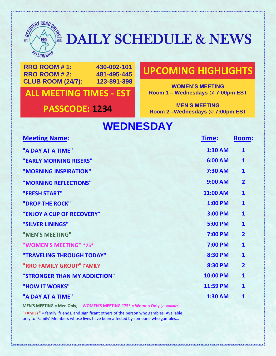

### $\frac{1}{2}$   $\frac{1}{2}$   $\frac{1}{2}$   $\frac{1}{2}$   $\frac{1}{2}$   $\frac{1}{2}$   $\frac{1}{2}$   $\frac{1}{2}$  DAILY SCHEDULE & NEWS

**RRO ROOM # 1: 430-092-101 RRO ROOM # 2: 481-495-445 CLUB ROOM (24/7): 123-891-398**

**ALL MEETING TIMES Room 1 – Wednesdays @ 7:00pm EST - EST**

#### **UPCOMING HIGHLIGHTS**

**WOMEN'S MEETING<br>Room 1 – Wednesdays @ 7:00pm EST** 

**PASSCODE: 1234 MEN'S MEETING Room 2 –Wednesdays @ 7:00pm EST**

### **WEDNESDAY**

| <b>Meeting Name:</b>         | <u>Time:</u>   | <b>Room:</b>   |
|------------------------------|----------------|----------------|
| "A DAY AT A TIME"            | <b>1:30 AM</b> | $\mathbf{1}$   |
| "EARLY MORNING RISERS"       | 6:00 AM        | $\mathbf{1}$   |
| "MORNING INSPIRATION"        | 7:30 AM        | $\mathbf{1}$   |
| "MORNING REFLECTIONS"        | <b>9:00 AM</b> | $\overline{2}$ |
| "FRESH START"                | 11:00 AM       | $\mathbf{1}$   |
| "DROP THE ROCK"              | <b>1:00 PM</b> | $\mathbf{1}$   |
| "ENJOY A CUP OF RECOVERY"    | 3:00 PM        | $\mathbf{1}$   |
| "SILVER LININGS"             | <b>5:00 PM</b> | $\mathbf{1}$   |
| "MEN'S MEETING"              | <b>7:00 PM</b> | $\overline{2}$ |
| "WOMEN'S MEETING" *75*       | 7:00 PM        | $\mathbf{1}$   |
| "TRAVELING THROUGH TODAY"    | 8:30 PM        | $\mathbf{1}$   |
| "RRO FAMILY GROUP" FAMILY    | 8:30 PM        | $\overline{2}$ |
| "STRONGER THAN MY ADDICTION" | 10:00 PM       | $\mathbf{1}$   |
| "HOW IT WORKS"               | 11:59 PM       | $\mathbf{1}$   |
| "A DAY AT A TIME"            | <b>1:30 AM</b> | $\mathbf{1}$   |
|                              |                |                |

**MEN'S MEETING = Men Only; WOMEN'S MEETING \*75\* = Women Only (75 minutes) "FAMILY"** = family, friends, and significant others of the person who gambles. Available only to 'Family' Members whose lives have been affected by someone who gambles…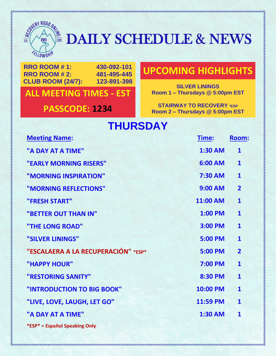

## $\frac{1}{25}$   $\frac{1}{25}$   $\frac{1}{25}$   $\frac{1}{25}$   $\frac{1}{25}$  DAILY SCHEDULE & NEWS

**RRO ROOM # 1: 430-092-101 RRO ROOM # 2: 481-495-445 CLUB ROOM (24/7): 123-891-398**

**ALL MEETING TIMES Room 1 – Thursdays @ 5:00pm EST - EST**

#### **UPCOMING HIGHLIGHTS**

**SILVER LININGS**<br>**Room 1 – Thursdays @ 5:00pm EST** 

**PASSCODE: 1234 STAIRWAY TO RECOVERY** *ESP*<br>**PASSCODE: 1234 Boom 2-Thursdays** @ 5:00pm E **Room 2 – Thursdays @ 5:00pm EST**

### **THURSDAY**

| <b>Meeting Name:</b>                | Time:          | Room:          |
|-------------------------------------|----------------|----------------|
| "A DAY AT A TIME"                   | <b>1:30 AM</b> | $\mathbf{1}$   |
| "EARLY MORNING RISERS"              | 6:00 AM        | $\mathbf{1}$   |
| "MORNING INSPIRATION"               | 7:30 AM        | $\mathbf{1}$   |
| "MORNING REFLECTIONS"               | <b>9:00 AM</b> | $\overline{2}$ |
| "FRESH START"                       | 11:00 AM       | $\mathbf{1}$   |
| "BETTER OUT THAN IN"                | <b>1:00 PM</b> | $\mathbf{1}$   |
| "THE LONG ROAD"                     | 3:00 PM        | $\mathbf{1}$   |
| "SILVER LININGS"                    | <b>5:00 PM</b> | $\mathbf{1}$   |
| "ESCALAERA A LA RECUPERACIÓN" *ESP* | <b>5:00 PM</b> | $\overline{2}$ |
| "HAPPY HOUR"                        | <b>7:00 PM</b> | $\mathbf{1}$   |
| "RESTORING SANITY"                  | <b>8:30 PM</b> | $\mathbf{1}$   |
| "INTRODUCTION TO BIG BOOK"          | 10:00 PM       | $\mathbf{1}$   |
| "LIVE, LOVE, LAUGH, LET GO"         | 11:59 PM       | $\mathbf{1}$   |
| "A DAY AT A TIME"                   | <b>1:30 AM</b> | $\mathbf{1}$   |
| *ESP* = Español Speaking Only       |                |                |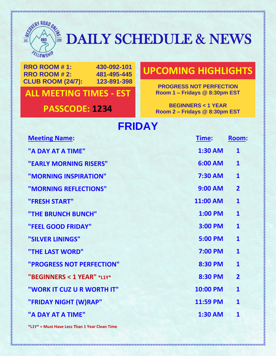

## $\frac{1}{25}$   $\frac{1}{25}$   $\frac{1}{25}$   $\frac{1}{25}$  DAILY SCHEDULE & NEWS

**RRO ROOM # 1: 430-092-101 RRO ROOM # 2: 481-495-445 CLUB ROOM (24/7): 123-891-398**

**ALL MEETING TIMES Room 1 – Fridays @ 8:30pm EST - EST**

#### **UPCOMING HIGHLIGHTS**

**PROGRESS NOT PERFECTION<br>Room 1 – Fridays @ 8:30pm EST** 

**PASSCODE: 1234 BEGINNERS** < 1 YEAR **Room 2 – Fridays @ 8:30pm EST**

#### **FRIDAY**

| <b>Meeting Name:</b>       | Time:           | <b>Room:</b>            |
|----------------------------|-----------------|-------------------------|
| "A DAY AT A TIME"          | <b>1:30 AM</b>  | $\mathbf{1}$            |
| "EARLY MORNING RISERS"     | 6:00 AM         | $\mathbf{1}$            |
| "MORNING INSPIRATION"      | <b>7:30 AM</b>  | $\mathbf{1}$            |
| "MORNING REFLECTIONS"      | <b>9:00 AM</b>  | $\overline{2}$          |
| "FRESH START"              | <b>11:00 AM</b> | $\mathbf{1}$            |
| "THE BRUNCH BUNCH"         | <b>1:00 PM</b>  | $\mathbf{1}$            |
| "FEEL GOOD FRIDAY"         | <b>3:00 PM</b>  | $\overline{\mathbf{1}}$ |
| "SILVER LININGS"           | 5:00 PM         | $\mathbf{1}$            |
| "THE LAST WORD"            | <b>7:00 PM</b>  | $\mathbf{1}$            |
| "PROGRESS NOT PERFECTION"  | 8:30 PM         | $\mathbf{1}$            |
| "BEGINNERS < 1 YEAR" *L1Y* | <b>8:30 PM</b>  | $\overline{2}$          |
| "WORK IT CUZ U R WORTH IT" | 10:00 PM        | $\mathbf{1}$            |
| "FRIDAY NIGHT (W)RAP"      | 11:59 PM        | $\mathbf{1}$            |
| "A DAY AT A TIME"          | <b>1:30 AM</b>  | $\mathbf{1}$            |
|                            |                 |                         |

**\*L1Y\* = Must Have Less Than 1 Year Clean Time**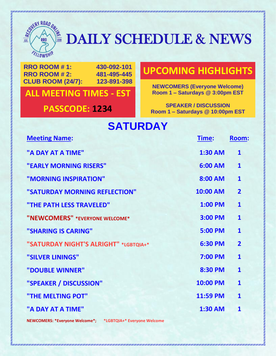

## $\frac{1}{25}$   $\frac{1}{25}$   $\frac{1}{25}$   $\frac{1}{25}$  DAILY SCHEDULE & NEWS

**RRO ROOM # 1: 430-092-101 RRO ROOM # 2: 481-495-445 CLUB ROOM (24/7): 123-891-398**

**ALL MEETING TIMES Room 1 – Saturdays @ 3:00pm EST - EST**

#### **UPCOMING HIGHLIGHTS**

**NEWCOMERS (Everyone Welcome)**

**PASSCODE: 1234 SPEAKER / DISCUSSION Room 1 – Saturdays @ 10:00pm EST**

### **SATURDAY**

| <b>Meeting Name:</b>                  | <u>Time:</u>   | <u>Room:</u>            |
|---------------------------------------|----------------|-------------------------|
| "A DAY AT A TIME"                     | <b>1:30 AM</b> | $\mathbf{1}$            |
| "EARLY MORNING RISERS"                | 6:00 AM        | $\mathbf{1}$            |
| "MORNING INSPIRATION"                 | 8:00 AM        | $\mathbf{1}$            |
| "SATURDAY MORNING REFLECTION"         | 10:00 AM       | $\overline{2}$          |
| "THE PATH LESS TRAVELED"              | <b>1:00 PM</b> | $\mathbf{1}$            |
| "NEWCOMERS" *EVERYONE WELCOME*        | <b>3:00 PM</b> | $\mathbf{1}$            |
| "SHARING IS CARING"                   | <b>5:00 PM</b> | $\mathbf{1}$            |
| "SATURDAY NIGHT'S ALRIGHT" *LGBTQIA+* | <b>6:30 PM</b> | $\overline{\mathbf{2}}$ |
| "SILVER LININGS"                      | <b>7:00 PM</b> | $\mathbf{1}$            |
| "DOUBLE WINNER"                       | 8:30 PM        | $\mathbf{1}$            |
| "SPEAKER / DISCUSSION"                | 10:00 PM       | $\overline{\mathbf{1}}$ |
| "THE MELTING POT"                     | 11:59 PM       | $\mathbf{1}$            |
| "A DAY AT A TIME"                     | <b>1:30 AM</b> | $\mathbf{1}$            |
|                                       |                |                         |

**NEWCOMERS: \*Everyone Welcome\*; \*LGBTQIA+\* Everyone Welcome**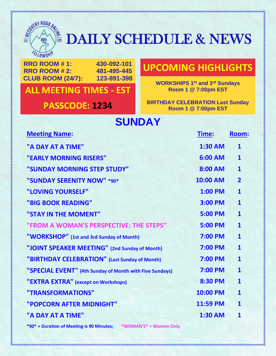

## **EXERUTED AILY SCHEDULE & NEWS**

**RRO ROOM # 1: 430-092-101 RRO ROOM # 2: 481-495-445 CLUB ROOM (24/7): 123-891-398**

#### **ALL MEETING TIMES Room 1 @ 7:00pm EST - EST**

#### **UPCOMING HIGHLIGHTS**

**WORKSHIPS 1<sup>st</sup> and 3<sup>rd</sup> Sundays**<br>Room 1 @ 7:00pm EST

**PASSCODE: 1234 BIRTHDAY CELEBRATION Last Sunday Room 1 @ 7:00pm EST**

#### **SUNDAY**

| <b>Meeting Name:</b>                                    | Time:          | <b>Room:</b>   |
|---------------------------------------------------------|----------------|----------------|
| "A DAY AT A TIME"                                       | <b>1:30 AM</b> | $\mathbf{1}$   |
| "EARLY MORNING RISERS"                                  | 6:00 AM        | $\mathbf{1}$   |
| "SUNDAY MORNING STEP STUDY"                             | 8:00 AM        | $\mathbf{1}$   |
| "SUNDAY SERENITY NOW" *90*                              | 10:00 AM       | $\overline{2}$ |
| "LOVING YOURSELF"                                       | <b>1:00 PM</b> | $\mathbf{1}$   |
| "BIG BOOK READING"                                      | 3:00 PM        | $\mathbf{1}$   |
| "STAY IN THE MOMENT"                                    | <b>5:00 PM</b> | $\mathbf{1}$   |
| "FROM A WOMAN'S PERSPECTIVE: THE STEPS"                 | <b>5:00 PM</b> | $\mathbf{1}$   |
| "WORKSHOP" (1st and 3rd Sunday of Month)                | 7:00 PM        | $\mathbf{1}$   |
| "JOINT SPEAKER MEETING" (2nd Sunday of Month)           | 7:00 PM        | $\mathbf{1}$   |
| "BIRTHDAY CELEBRATION" (Last Sunday of Month)           | <b>7:00 PM</b> | $\mathbf{1}$   |
| "SPECIAL EVENT" (4th Sunday of Month with Five Sundays) | 7:00 PM        | $\mathbf{1}$   |
| "EXTRA EXTRA" (except on Workshops)                     | 8:30 PM        | $\mathbf{1}$   |
| "TRANSFORMATIONS"                                       | 10:00 PM       | $\mathbf{1}$   |
| "POPCORN AFTER MIDNIGHT"                                | 11:59 PM       | $\mathbf{1}$   |
| "A DAY AT A TIME"                                       | <b>1:30 AM</b> | $\mathbf{1}$   |
|                                                         |                |                |

**\*90\* = Duration of Meeting is 90 Minutes; \*WOMAN'S\* = Women Only**